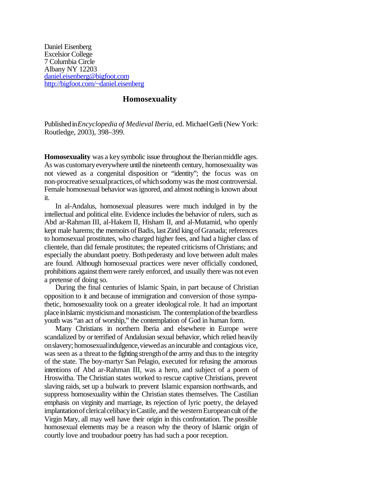Daniel Eisenberg Excelsior College 7 Columbia Circle Albany NY 12203 daniel.eisenberg@bigfoot.com http://bigfoot.com/~daniel.eisenberg

## **Homosexuality**

Publishedin*Encyclopedia of Medieval Iberia*, ed. MichaelGerli(New York: Routledge, 2003), 398–399.

**Homosexuality** was a key symbolic issue throughout the Iberian middle ages. As was customary everywhere until the nineteenth century, homosexuality was not viewed as a congenital disposition or "identity"; the focus was on non-procreative sexual practices, of which sodomy was the most controversial. Female homosexual behavior wasignored, and almost nothing is known about it.

In al-Andalus, homosexual pleasures were much indulged in by the intellectual and political elite. Evidence includes the behavior of rulers, such as Abd ar-Rahman III, al-Hakem II, Hisham II, and al-Mutamid, who openly kept male harems; the memoirs of Badis, last Zirid king of Granada; references to homosexual prostitutes, who charged higher fees, and had a higher class of clientele, than did female prostitutes; the repeated criticisms ofChristians; and especially the abundant poetry. Both pederasty and love between adult males are found. Although homosexual practices were never officially condoned, prohibitions against themwere rarely enforced, and usually there was not even a pretense of doing so.

During the final centuries of Islamic Spain, in part because of Christian opposition to it and because of immigration and conversion of those sympathetic, homosexuality took on a greater ideological role. It had an important place in Islamic mysticism and monasticism. The contemplation of the beardless youth was "an act of worship," the contemplation of God in human form.

Many Christians in northern Iberia and elsewhere in Europe were scandalized by or terrified of Andalusian sexual behavior, which relied heavily onslavery; homosexualindulgence,viewedas anincurable and contagious vice, was seen as a threat to the fighting strength of the army and thus to the integrity of the state. The boy-martyr San Pelagio, executed for refusing the amorous intentions of Abd ar-Rahman III, was a hero, and subject of a poem of Hroswitha. The Christian states worked to rescue captive Christians, prevent slaving raids, set up a bulwark to prevent Islamic expansion northwards, and suppress homosexuality within the Christian states themselves. The Castilian emphasis on virginity and marriage, its rejection of lyric poetry, the delayed implantation of clerical celibacy in Castile, and the western European cult of the Virgin Mary, all may well have their origin in this confrontation. The possible homosexual elements may be a reason why the theory of Islamic origin of courtly love and troubadour poetry has had such a poor reception.